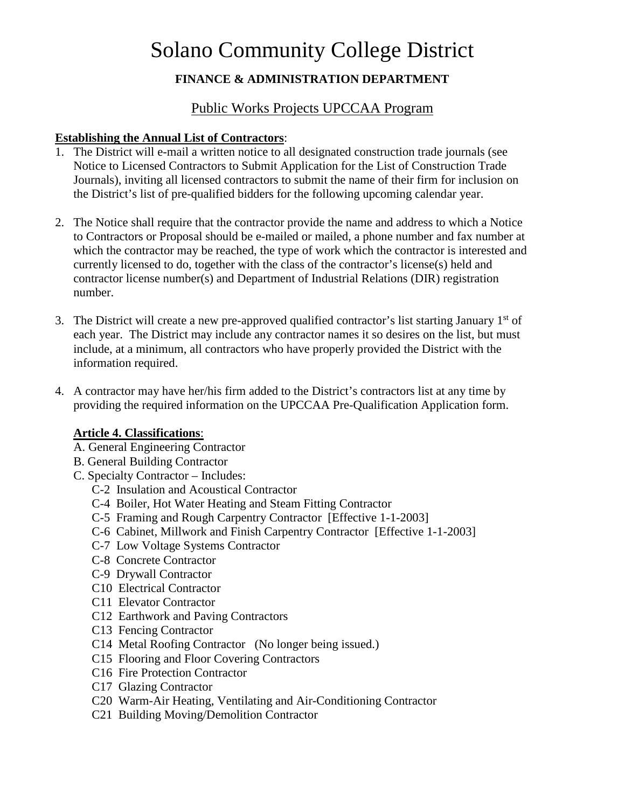# Solano Community College District

### **FINANCE & ADMINISTRATION DEPARTMENT**

## Public Works Projects UPCCAA Program

### **Establishing the Annual List of Contractors**:

- 1. The District will e-mail a written notice to all designated construction trade journals (see Notice to Licensed Contractors to Submit Application for the List of Construction Trade Journals), inviting all licensed contractors to submit the name of their firm for inclusion on the District's list of pre-qualified bidders for the following upcoming calendar year.
- 2. The Notice shall require that the contractor provide the name and address to which a Notice to Contractors or Proposal should be e-mailed or mailed, a phone number and fax number at which the contractor may be reached, the type of work which the contractor is interested and currently licensed to do, together with the class of the contractor's license(s) held and contractor license number(s) and Department of Industrial Relations (DIR) registration number.
- 3. The District will create a new pre-approved qualified contractor's list starting January  $1<sup>st</sup>$  of each year. The District may include any contractor names it so desires on the list, but must include, at a minimum, all contractors who have properly provided the District with the information required.
- 4. A contractor may have her/his firm added to the District's contractors list at any time by providing the required information on the UPCCAA Pre-Qualification Application form.

#### **Article 4. Classifications**:

- A. General Engineering Contractor
- B. General Building Contractor
- C. Specialty Contractor Includes:
	- C-2 Insulation and Acoustical Contractor
	- C-4 Boiler, Hot Water Heating and Steam Fitting Contractor
	- C-5 Framing and Rough Carpentry Contractor [Effective 1-1-2003]
	- C-6 Cabinet, Millwork and Finish Carpentry Contractor [Effective 1-1-2003]
	- C-7 Low Voltage Systems Contractor
	- C-8 Concrete Contractor
	- C-9 Drywall Contractor
	- C10 Electrical Contractor
	- C11 Elevator Contractor
	- C12 Earthwork and Paving Contractors
	- C13 Fencing Contractor
	- C14 Metal Roofing Contractor (No longer being issued.)
	- C15 Flooring and Floor Covering Contractors
	- C16 Fire Protection Contractor
	- C17 Glazing Contractor
	- C20 Warm-Air Heating, Ventilating and Air-Conditioning Contractor
	- C21 Building Moving/Demolition Contractor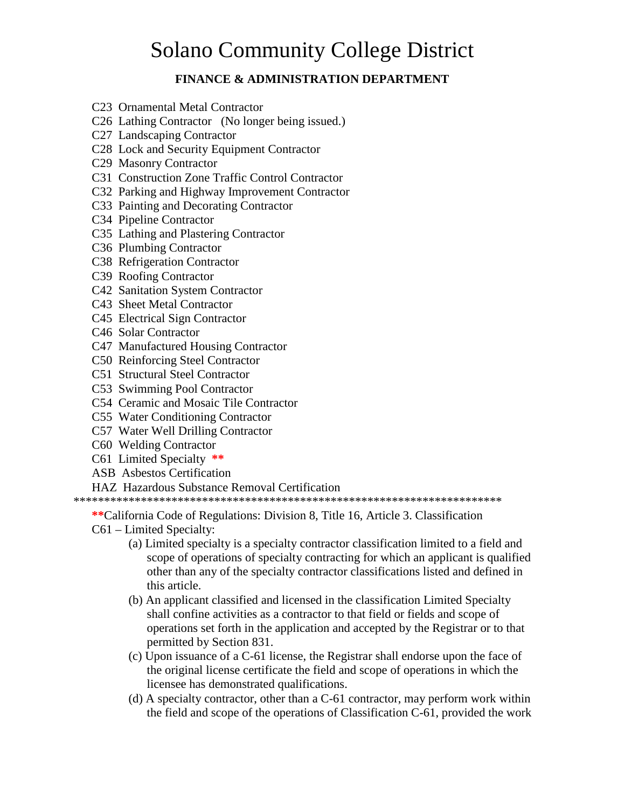# **Solano Community College District**

### **FINANCE & ADMINISTRATION DEPARTMENT**

- C23 Ornamental Metal Contractor
- C<sub>26</sub> Lathing Contractor (No longer being issued.)
- C<sub>27</sub> Landscaping Contractor
- C28 Lock and Security Equipment Contractor
- C29 Masonry Contractor
- C31 Construction Zone Traffic Control Contractor
- C32 Parking and Highway Improvement Contractor
- C33 Painting and Decorating Contractor
- C34 Pipeline Contractor
- C35 Lathing and Plastering Contractor
- C36 Plumbing Contractor
- C38 Refrigeration Contractor
- C39 Roofing Contractor
- C42 Sanitation System Contractor
- C43 Sheet Metal Contractor
- C45 Electrical Sign Contractor
- C46 Solar Contractor
- C47 Manufactured Housing Contractor
- C50 Reinforcing Steel Contractor
- C51 Structural Steel Contractor
- C53 Swimming Pool Contractor
- C54 Ceramic and Mosaic Tile Contractor
- C55 Water Conditioning Contractor
- C57 Water Well Drilling Contractor
- C60 Welding Contractor
- C61 Limited Specialty  $**$
- **ASB** Asbestos Certification

**HAZ Hazardous Substance Removal Certification** 

\*\* California Code of Regulations: Division 8, Title 16, Article 3. Classification

 $C61$  – Limited Specialty:

- (a) Limited specialty is a specialty contractor classification limited to a field and scope of operations of specialty contracting for which an applicant is qualified other than any of the specialty contractor classifications listed and defined in this article.
- (b) An applicant classified and licensed in the classification Limited Specialty shall confine activities as a contractor to that field or fields and scope of operations set forth in the application and accepted by the Registrar or to that permitted by Section 831.
- (c) Upon issuance of a C-61 license, the Registrar shall endorse upon the face of the original license certificate the field and scope of operations in which the licensee has demonstrated qualifications.
- (d) A specialty contractor, other than a C-61 contractor, may perform work within the field and scope of the operations of Classification C-61, provided the work